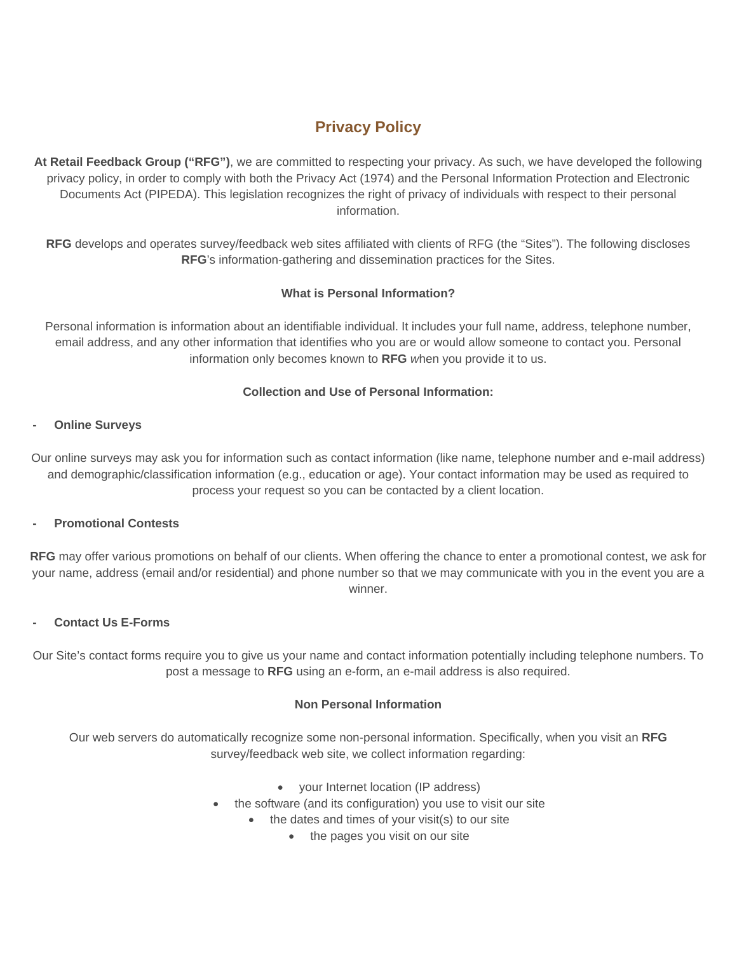# **Privacy Policy**

**At Retail Feedback Group ("RFG")**, we are committed to respecting your privacy. As such, we have developed the following privacy policy, in order to comply with both the Privacy Act (1974) and the Personal Information Protection and Electronic Documents Act (PIPEDA). This legislation recognizes the right of privacy of individuals with respect to their personal information.

**RFG** develops and operates survey/feedback web sites affiliated with clients of RFG (the "Sites"). The following discloses **RFG**'s information-gathering and dissemination practices for the Sites.

# **What is Personal Information?**

Personal information is information about an identifiable individual. It includes your full name, address, telephone number, email address, and any other information that identifies who you are or would allow someone to contact you. Personal information only becomes known to **RFG** *w*hen you provide it to us.

## **Collection and Use of Personal Information:**

## **- Online Surveys**

Our online surveys may ask you for information such as contact information (like name, telephone number and e-mail address) and demographic/classification information (e.g., education or age). Your contact information may be used as required to process your request so you can be contacted by a client location.

## **- Promotional Contests**

**RFG** may offer various promotions on behalf of our clients. When offering the chance to enter a promotional contest, we ask for your name, address (email and/or residential) and phone number so that we may communicate with you in the event you are a winner.

## **- Contact Us E-Forms**

Our Site's contact forms require you to give us your name and contact information potentially including telephone numbers. To post a message to **RFG** using an e-form, an e-mail address is also required.

# **Non Personal Information**

Our web servers do automatically recognize some non-personal information. Specifically, when you visit an **RFG** survey/feedback web site, we collect information regarding:

- your Internet location (IP address)
- the software (and its configuration) you use to visit our site
	- the dates and times of your visit(s) to our site
		- the pages you visit on our site